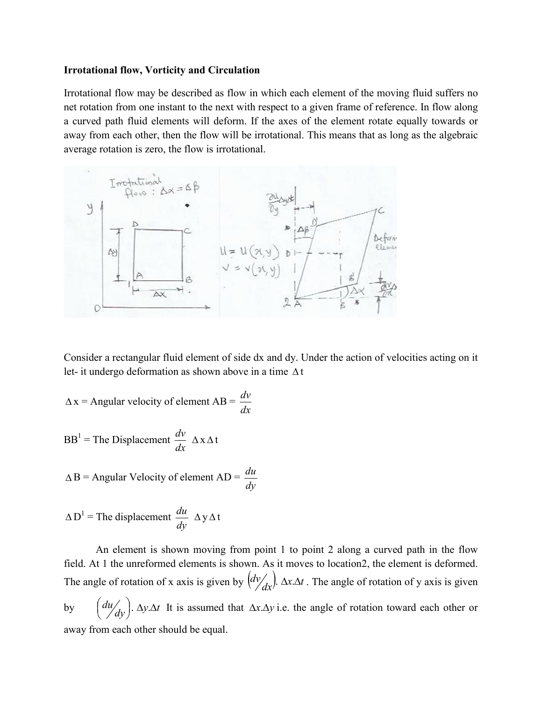## **Irrotational flow, Vorticity and Circulation**

Irrotational flow may be described as flow in which each element of the moving fluid suffers no net rotation from one instant to the next with respect to a given frame of reference. In flow along a curved path fluid elements will deform. If the axes of the element rotate equally towards or away from each other, then the flow will be irrotational. This means that as long as the algebraic average rotation is zero, the flow is irrotational.



Consider a rectangular fluid element of side dx and dy. Under the action of velocities acting on it let- it undergo deformation as shown above in a time  $\Delta t$ 

 $\Delta x =$  Angular velocity of element  $AB = \frac{dv}{dx}$ 

$$
BB1 = The Displacement \frac{dv}{dx} \Delta x \Delta t
$$

$$
\triangle
$$
B = Angular Velocity of element AD =  $\frac{du}{dy}$ 

$$
\Delta D^1
$$
 = The displacement  $\frac{du}{dy} \Delta y \Delta t$ 

An element is shown moving from point 1 to point 2 along a curved path in the flow field. At 1 the unreformed elements is shown. As it moves to location2, the element is deformed. The angle of rotation of x axis is given by  $\left(\frac{dv}{dx}\right)$ .  $\Delta x \Delta t$ . The angle of rotation of y axis is given by  $\left(\frac{du}{dy}\right)$ .  $\Delta y \cdot \Delta t$  $\left(\frac{du}{du}\right)$ .  $\Delta y \Delta t$  It is assumed that  $\Delta x \Delta y$  i.e. the angle of rotation toward each other or away from each other should be equal.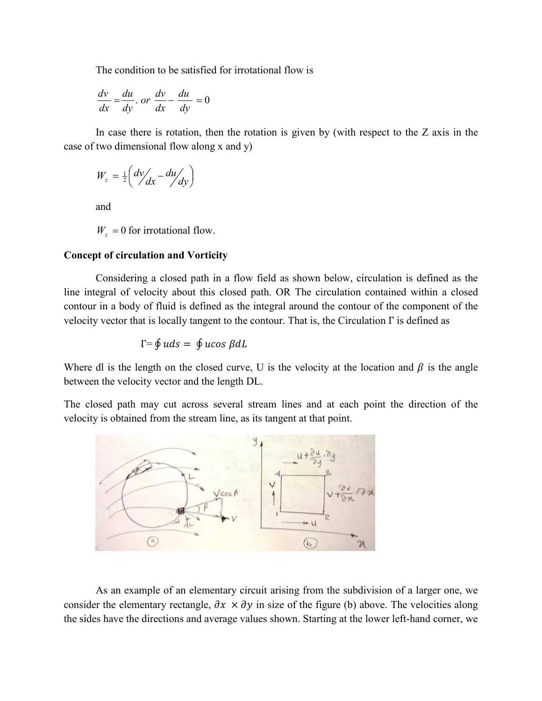The condition to be satisfied for irrotational flow is

$$
\frac{dv}{dx} = \frac{du}{dy} \cdot or \frac{dv}{dx} - \frac{du}{dy} = 0
$$

In case there is rotation, then the rotation is given by (with respect to the  $Z$  axis in the case of two dimensional flow along x and y)

$$
W_z = \frac{1}{2} \left( \frac{dv}{dx} - \frac{du}{dy} \right)
$$

and

 $W_z = 0$  for irrotational flow.

## **Concept of circulation and Vorticity**

Considering a closed path in a flow field as shown below, circulation is defined as the line integral of velocity about this closed path. OR The circulation contained within a closed contour in a body of fluid is defined as the integral around the contour of the component of the velocity vector that is locally tangent to the contour. That is, the Circulation  $\Gamma$  is defined as

$$
\Gamma = \oint u ds = \oint u cos \beta dl
$$

Where dl is the length on the closed curve, U is the velocity at the location and  $\beta$  is the angle between the velocity vector and the length DL.

The closed path may cut across several stream lines and at each point the direction of the velocity is obtained from the stream line, as its tangent at that point.



As an example of an elementary circuit arising from the subdivision of a larger one, we consider the elementary rectangle,  $\partial x \times \partial y$  in size of the figure (b) above. The velocities along the sides have the directions and average values shown. Starting at the lower left-hand corner, we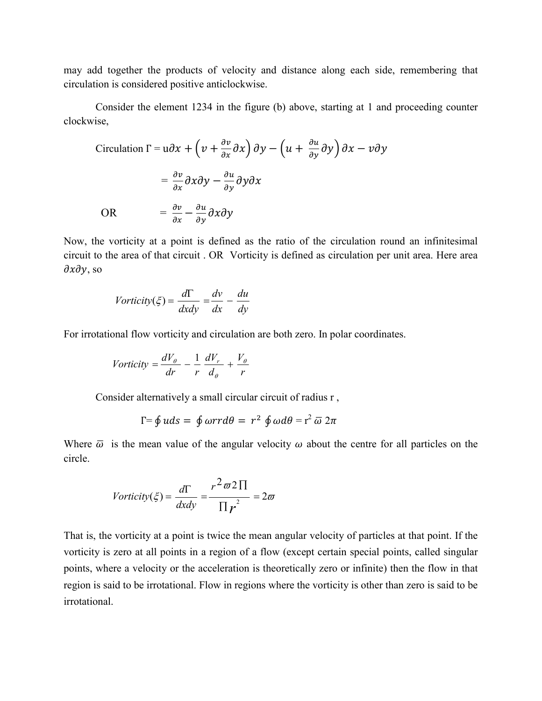may add together the products of velocity and distance along each side, remembering that circulation is considered positive anticlockwise.

Consider the element 1234 in the figure (b) above, starting at 1 and proceeding counter clockwise,

Circulation 
$$
\Gamma = u \partial x + \left( v + \frac{\partial v}{\partial x} \partial x \right) \partial y - \left( u + \frac{\partial u}{\partial y} \partial y \right) \partial x - v \partial y
$$

\n
$$
= \frac{\partial v}{\partial x} \partial x \partial y - \frac{\partial u}{\partial y} \partial y \partial x
$$
\nOR

\n
$$
= \frac{\partial v}{\partial x} - \frac{\partial u}{\partial y} \partial x \partial y
$$

Now, the vorticity at a point is defined as the ratio of the circulation round an infinitesimal circuit to the area of that circuit . OR Vorticity is defined as circulation per unit area. Here area  $\partial x \partial y$ , so

$$
Vorticity(\xi) = \frac{d\Gamma}{dx dy} = \frac{dv}{dx} - \frac{du}{dy}
$$

For irrotational flow vorticity and circulation are both zero. In polar coordinates.

$$
Vorticity = \frac{dV_{\theta}}{dr} - \frac{1}{r} \frac{dV_{r}}{d_{\theta}} + \frac{V_{\theta}}{r}
$$

Consider alternatively a small circular circuit of radius r ,

$$
\Gamma = \oint u ds = \oint \omega r r d\theta = r^2 \oint \omega d\theta = r^2 \overline{\omega} 2\pi
$$

Where  $\bar{\omega}$  is the mean value of the angular velocity  $\omega$  about the centre for all particles on the circle.

$$
Vorticity(\xi) = \frac{d\Gamma}{dxdy} = \frac{r^2 \varpi 2 \Pi}{\Pi r^2} = 2\varpi
$$

That is, the vorticity at a point is twice the mean angular velocity of particles at that point. If the vorticity is zero at all points in a region of a flow (except certain special points, called singular points, where a velocity or the acceleration is theoretically zero or infinite) then the flow in that region is said to be irrotational. Flow in regions where the vorticity is other than zero is said to be irrotational.